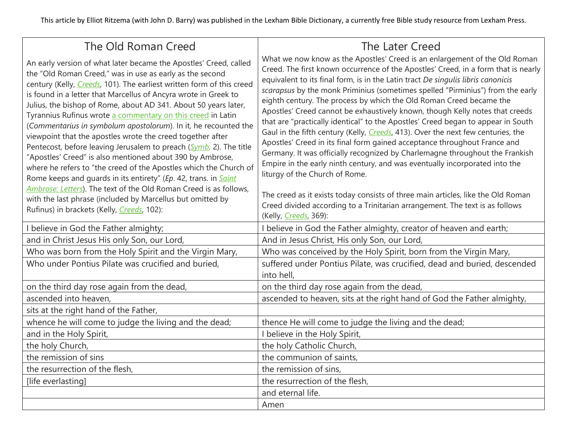This article by Elliot Ritzema (with John D. Barry) was published in the Lexham Bible Dictionary, a currently free Bible study resource from Lexham Press.

| The Old Roman Creed                                                                                                                                                                                                                                                                                                                                                                                                                                                                                                                                                                                                                                                                                                                                                                                                                                                                                                                                                                                                      | The Later Creed                                                                                                                                                                                                                                                                                                                                                                                                                                                                                                                                                                                                                                                                                                                                                                                                                                                                                                                                                                                                                                                                                                                                                  |
|--------------------------------------------------------------------------------------------------------------------------------------------------------------------------------------------------------------------------------------------------------------------------------------------------------------------------------------------------------------------------------------------------------------------------------------------------------------------------------------------------------------------------------------------------------------------------------------------------------------------------------------------------------------------------------------------------------------------------------------------------------------------------------------------------------------------------------------------------------------------------------------------------------------------------------------------------------------------------------------------------------------------------|------------------------------------------------------------------------------------------------------------------------------------------------------------------------------------------------------------------------------------------------------------------------------------------------------------------------------------------------------------------------------------------------------------------------------------------------------------------------------------------------------------------------------------------------------------------------------------------------------------------------------------------------------------------------------------------------------------------------------------------------------------------------------------------------------------------------------------------------------------------------------------------------------------------------------------------------------------------------------------------------------------------------------------------------------------------------------------------------------------------------------------------------------------------|
| An early version of what later became the Apostles' Creed, called<br>the "Old Roman Creed," was in use as early as the second<br>century (Kelly, <i>Creeds</i> , 101). The earliest written form of this creed<br>is found in a letter that Marcellus of Ancyra wrote in Greek to<br>Julius, the bishop of Rome, about AD 341. About 50 years later,<br>Tyrannius Rufinus wrote a commentary on this creed in Latin<br>(Commentarius in symbolum apostolorum). In it, he recounted the<br>viewpoint that the apostles wrote the creed together after<br>Pentecost, before leaving Jerusalem to preach (Symb. 2). The title<br>"Apostles' Creed" is also mentioned about 390 by Ambrose,<br>where he refers to "the creed of the Apostles which the Church of<br>Rome keeps and guards in its entirety" (Ep. 42, trans. in Saint<br>Ambrose: Letters). The text of the Old Roman Creed is as follows,<br>with the last phrase (included by Marcellus but omitted by<br>Rufinus) in brackets (Kelly, <i>Creeds</i> , 102): | What we now know as the Apostles' Creed is an enlargement of the Old Roman<br>Creed. The first known occurrence of the Apostles' Creed, in a form that is nearly<br>equivalent to its final form, is in the Latin tract De singulis libris canonicis<br>scarapsus by the monk Priminius (sometimes spelled "Pirminius") from the early<br>eighth century. The process by which the Old Roman Creed became the<br>Apostles' Creed cannot be exhaustively known, though Kelly notes that creeds<br>that are "practically identical" to the Apostles' Creed began to appear in South<br>Gaul in the fifth century (Kelly, <i>Creeds</i> , 413). Over the next few centuries, the<br>Apostles' Creed in its final form gained acceptance throughout France and<br>Germany. It was officially recognized by Charlemagne throughout the Frankish<br>Empire in the early ninth century, and was eventually incorporated into the<br>liturgy of the Church of Rome.<br>The creed as it exists today consists of three main articles, like the Old Roman<br>Creed divided according to a Trinitarian arrangement. The text is as follows<br>(Kelly, <i>Creeds</i> , 369): |
| I believe in God the Father almighty;                                                                                                                                                                                                                                                                                                                                                                                                                                                                                                                                                                                                                                                                                                                                                                                                                                                                                                                                                                                    | I believe in God the Father almighty, creator of heaven and earth;                                                                                                                                                                                                                                                                                                                                                                                                                                                                                                                                                                                                                                                                                                                                                                                                                                                                                                                                                                                                                                                                                               |
| and in Christ Jesus His only Son, our Lord,                                                                                                                                                                                                                                                                                                                                                                                                                                                                                                                                                                                                                                                                                                                                                                                                                                                                                                                                                                              | And in Jesus Christ, His only Son, our Lord,                                                                                                                                                                                                                                                                                                                                                                                                                                                                                                                                                                                                                                                                                                                                                                                                                                                                                                                                                                                                                                                                                                                     |
| Who was born from the Holy Spirit and the Virgin Mary,                                                                                                                                                                                                                                                                                                                                                                                                                                                                                                                                                                                                                                                                                                                                                                                                                                                                                                                                                                   | Who was conceived by the Holy Spirit, born from the Virgin Mary,                                                                                                                                                                                                                                                                                                                                                                                                                                                                                                                                                                                                                                                                                                                                                                                                                                                                                                                                                                                                                                                                                                 |
| Who under Pontius Pilate was crucified and buried,                                                                                                                                                                                                                                                                                                                                                                                                                                                                                                                                                                                                                                                                                                                                                                                                                                                                                                                                                                       | suffered under Pontius Pilate, was crucified, dead and buried, descended<br>into hell,                                                                                                                                                                                                                                                                                                                                                                                                                                                                                                                                                                                                                                                                                                                                                                                                                                                                                                                                                                                                                                                                           |
| on the third day rose again from the dead,                                                                                                                                                                                                                                                                                                                                                                                                                                                                                                                                                                                                                                                                                                                                                                                                                                                                                                                                                                               | on the third day rose again from the dead,                                                                                                                                                                                                                                                                                                                                                                                                                                                                                                                                                                                                                                                                                                                                                                                                                                                                                                                                                                                                                                                                                                                       |
| ascended into heaven,                                                                                                                                                                                                                                                                                                                                                                                                                                                                                                                                                                                                                                                                                                                                                                                                                                                                                                                                                                                                    | ascended to heaven, sits at the right hand of God the Father almighty,                                                                                                                                                                                                                                                                                                                                                                                                                                                                                                                                                                                                                                                                                                                                                                                                                                                                                                                                                                                                                                                                                           |
| sits at the right hand of the Father,                                                                                                                                                                                                                                                                                                                                                                                                                                                                                                                                                                                                                                                                                                                                                                                                                                                                                                                                                                                    |                                                                                                                                                                                                                                                                                                                                                                                                                                                                                                                                                                                                                                                                                                                                                                                                                                                                                                                                                                                                                                                                                                                                                                  |
| whence he will come to judge the living and the dead;                                                                                                                                                                                                                                                                                                                                                                                                                                                                                                                                                                                                                                                                                                                                                                                                                                                                                                                                                                    | thence He will come to judge the living and the dead;                                                                                                                                                                                                                                                                                                                                                                                                                                                                                                                                                                                                                                                                                                                                                                                                                                                                                                                                                                                                                                                                                                            |
| and in the Holy Spirit,                                                                                                                                                                                                                                                                                                                                                                                                                                                                                                                                                                                                                                                                                                                                                                                                                                                                                                                                                                                                  | I believe in the Holy Spirit,                                                                                                                                                                                                                                                                                                                                                                                                                                                                                                                                                                                                                                                                                                                                                                                                                                                                                                                                                                                                                                                                                                                                    |
| the holy Church,                                                                                                                                                                                                                                                                                                                                                                                                                                                                                                                                                                                                                                                                                                                                                                                                                                                                                                                                                                                                         | the holy Catholic Church,                                                                                                                                                                                                                                                                                                                                                                                                                                                                                                                                                                                                                                                                                                                                                                                                                                                                                                                                                                                                                                                                                                                                        |
| the remission of sins                                                                                                                                                                                                                                                                                                                                                                                                                                                                                                                                                                                                                                                                                                                                                                                                                                                                                                                                                                                                    | the communion of saints,                                                                                                                                                                                                                                                                                                                                                                                                                                                                                                                                                                                                                                                                                                                                                                                                                                                                                                                                                                                                                                                                                                                                         |
| the resurrection of the flesh,                                                                                                                                                                                                                                                                                                                                                                                                                                                                                                                                                                                                                                                                                                                                                                                                                                                                                                                                                                                           | the remission of sins,                                                                                                                                                                                                                                                                                                                                                                                                                                                                                                                                                                                                                                                                                                                                                                                                                                                                                                                                                                                                                                                                                                                                           |
| [life everlasting]                                                                                                                                                                                                                                                                                                                                                                                                                                                                                                                                                                                                                                                                                                                                                                                                                                                                                                                                                                                                       | the resurrection of the flesh,                                                                                                                                                                                                                                                                                                                                                                                                                                                                                                                                                                                                                                                                                                                                                                                                                                                                                                                                                                                                                                                                                                                                   |
|                                                                                                                                                                                                                                                                                                                                                                                                                                                                                                                                                                                                                                                                                                                                                                                                                                                                                                                                                                                                                          | and eternal life.                                                                                                                                                                                                                                                                                                                                                                                                                                                                                                                                                                                                                                                                                                                                                                                                                                                                                                                                                                                                                                                                                                                                                |
|                                                                                                                                                                                                                                                                                                                                                                                                                                                                                                                                                                                                                                                                                                                                                                                                                                                                                                                                                                                                                          | Amen                                                                                                                                                                                                                                                                                                                                                                                                                                                                                                                                                                                                                                                                                                                                                                                                                                                                                                                                                                                                                                                                                                                                                             |